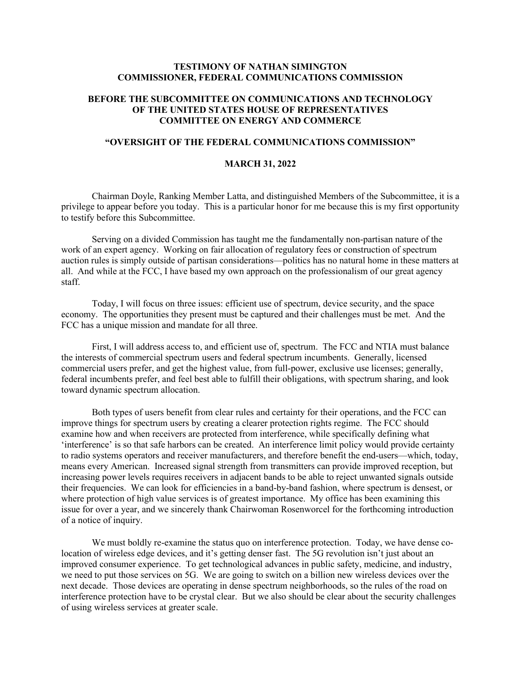## **TESTIMONY OF NATHAN SIMINGTON COMMISSIONER, FEDERAL COMMUNICATIONS COMMISSION**

## **BEFORE THE SUBCOMMITTEE ON COMMUNICATIONS AND TECHNOLOGY OF THE UNITED STATES HOUSE OF REPRESENTATIVES COMMITTEE ON ENERGY AND COMMERCE**

## **"OVERSIGHT OF THE FEDERAL COMMUNICATIONS COMMISSION"**

## **MARCH 31, 2022**

Chairman Doyle, Ranking Member Latta, and distinguished Members of the Subcommittee, it is a privilege to appear before you today. This is a particular honor for me because this is my first opportunity to testify before this Subcommittee.

Serving on a divided Commission has taught me the fundamentally non-partisan nature of the work of an expert agency. Working on fair allocation of regulatory fees or construction of spectrum auction rules is simply outside of partisan considerations—politics has no natural home in these matters at all. And while at the FCC, I have based my own approach on the professionalism of our great agency staff.

Today, I will focus on three issues: efficient use of spectrum, device security, and the space economy. The opportunities they present must be captured and their challenges must be met. And the FCC has a unique mission and mandate for all three.

First, I will address access to, and efficient use of, spectrum. The FCC and NTIA must balance the interests of commercial spectrum users and federal spectrum incumbents. Generally, licensed commercial users prefer, and get the highest value, from full-power, exclusive use licenses; generally, federal incumbents prefer, and feel best able to fulfill their obligations, with spectrum sharing, and look toward dynamic spectrum allocation.

Both types of users benefit from clear rules and certainty for their operations, and the FCC can improve things for spectrum users by creating a clearer protection rights regime. The FCC should examine how and when receivers are protected from interference, while specifically defining what 'interference' is so that safe harbors can be created. An interference limit policy would provide certainty to radio systems operators and receiver manufacturers, and therefore benefit the end-users—which, today, means every American. Increased signal strength from transmitters can provide improved reception, but increasing power levels requires receivers in adjacent bands to be able to reject unwanted signals outside their frequencies. We can look for efficiencies in a band-by-band fashion, where spectrum is densest, or where protection of high value services is of greatest importance. My office has been examining this issue for over a year, and we sincerely thank Chairwoman Rosenworcel for the forthcoming introduction of a notice of inquiry.

We must boldly re-examine the status quo on interference protection. Today, we have dense colocation of wireless edge devices, and it's getting denser fast. The 5G revolution isn't just about an improved consumer experience. To get technological advances in public safety, medicine, and industry, we need to put those services on 5G. We are going to switch on a billion new wireless devices over the next decade. Those devices are operating in dense spectrum neighborhoods, so the rules of the road on interference protection have to be crystal clear. But we also should be clear about the security challenges of using wireless services at greater scale.